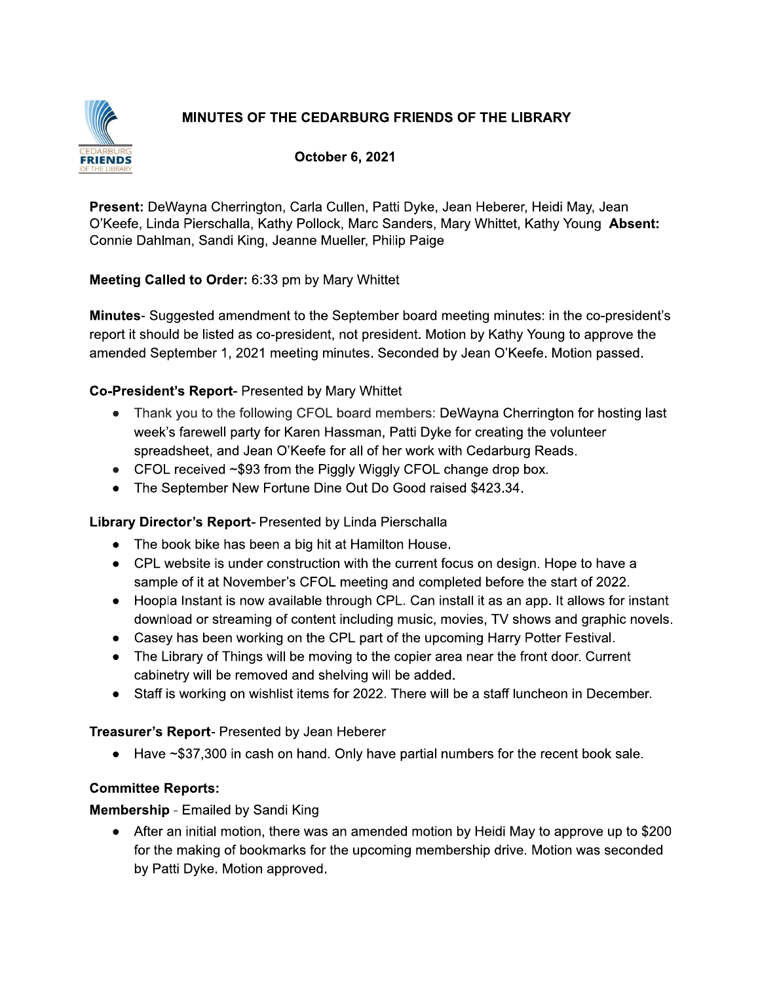# MINUTES OF THE CEDARBURG FRIENDS OF THE LIBRARY



October 6, 2021

Present: DeWayna Cherrington, Carla Cullen, Patti Dyke, Jean Heberer, Heidi May, Jean O'Keefe, Linda Pierschalla, Kathy Pollock, Marc Sanders, Mary Whittet, Kathy Young Absent: Connie Dahlman, Sandi King, Jeanne Mueller, Philip Paige

#### Meeting Called to Order: 6:33 pm by Mary Whittet

**Minutes-** Suggested amendment to the September board meeting minutes: in the co-president's report it should be listed as co-president, not president. Motion by Kathy Young to approve the amended September 1, 2021 meeting minutes. Seconded by Jean O'Keefe. Motion passed.

#### Co-President's Report- Presented by Mary Whittet

- Thank you to the following CFOL board members: DeWayna Cherrington for hosting last week's farewell party for Karen Hassman, Patti Dyke for creating the volunteer spreadsheet, and Jean O'Keefe for all of her work with Cedarburg Reads.
- CFOL received ~\$93 from the Piggly Wiggly CFOL change drop box.
- The September New Fortune Dine Out Do Good raised \$423.34.

### Library Director's Report- Presented by Linda Pierschalla

- The book bike has been a big hit at Hamilton House.
- CPL website is under construction with the current focus on design. Hope to have a sample of it at November's CFOL meeting and completed before the start of 2022.
- Hoopla Instant is now available through CPL. Can install it as an app. It allows for instant download or streaming of content including music, movies, TV shows and graphic novels.
- Casey has been working on the CPL part of the upcoming Harry Potter Festival.
- The Library of Things will be moving to the copier area near the front door. Current cabinetry will be removed and shelving will be added.
- Staff is working on wishlist items for 2022. There will be a staff luncheon in December.

### Treasurer's Report- Presented by Jean Heberer

• Have ~\$37,300 in cash on hand. Only have partial numbers for the recent book sale.

### **Committee Reports:**

#### **Membership - Emailed by Sandi King**

• After an initial motion, there was an amended motion by Heidi May to approve up to \$200 for the making of bookmarks for the upcoming membership drive. Motion was seconded by Patti Dyke. Motion approved.